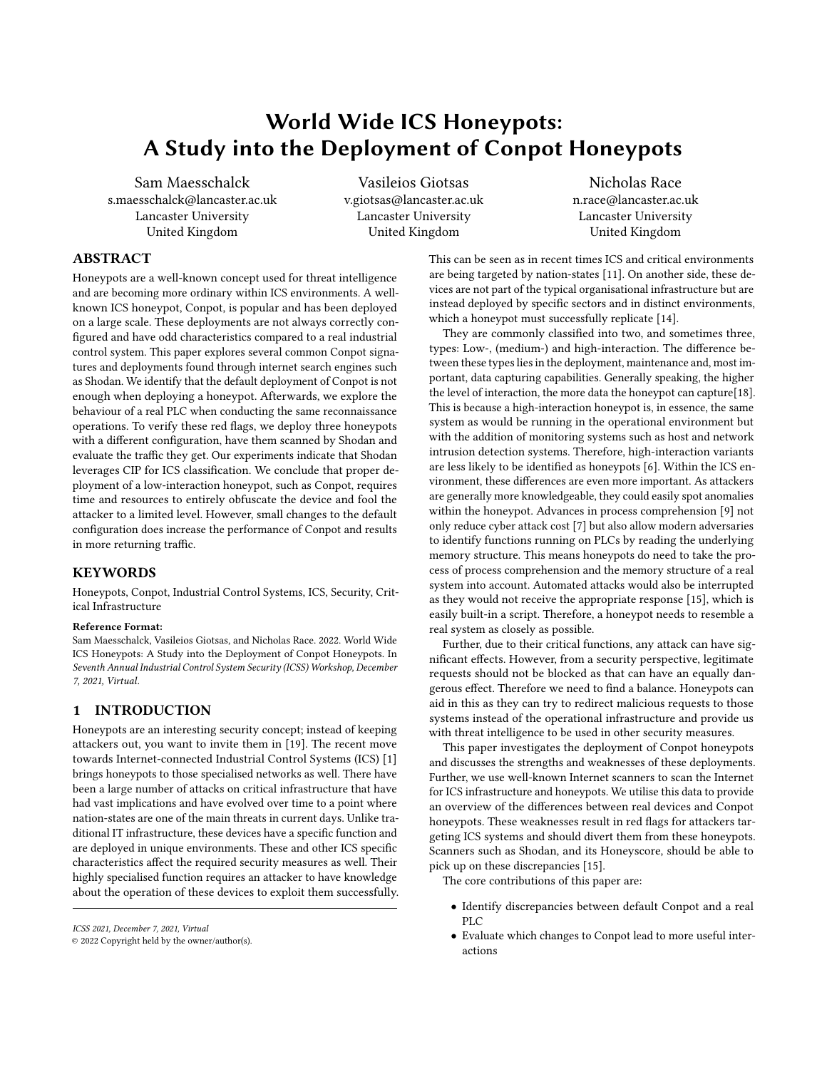# World Wide ICS Honeypots: A Study into the Deployment of Conpot Honeypots

Sam Maesschalck s.maesschalck@lancaster.ac.uk Lancaster University United Kingdom

Vasileios Giotsas v.giotsas@lancaster.ac.uk Lancaster University United Kingdom

Nicholas Race n.race@lancaster.ac.uk Lancaster University United Kingdom

# ABSTRACT

Honeypots are a well-known concept used for threat intelligence and are becoming more ordinary within ICS environments. A wellknown ICS honeypot, Conpot, is popular and has been deployed on a large scale. These deployments are not always correctly configured and have odd characteristics compared to a real industrial control system. This paper explores several common Conpot signatures and deployments found through internet search engines such as Shodan. We identify that the default deployment of Conpot is not enough when deploying a honeypot. Afterwards, we explore the behaviour of a real PLC when conducting the same reconnaissance operations. To verify these red flags, we deploy three honeypots with a different configuration, have them scanned by Shodan and evaluate the traffic they get. Our experiments indicate that Shodan leverages CIP for ICS classification. We conclude that proper deployment of a low-interaction honeypot, such as Conpot, requires time and resources to entirely obfuscate the device and fool the attacker to a limited level. However, small changes to the default configuration does increase the performance of Conpot and results in more returning traffic.

# **KEYWORDS**

Honeypots, Conpot, Industrial Control Systems, ICS, Security, Critical Infrastructure

### Reference Format:

Sam Maesschalck, Vasileios Giotsas, and Nicholas Race. 2022. World Wide ICS Honeypots: A Study into the Deployment of Conpot Honeypots. In Seventh Annual Industrial Control System Security (ICSS) Workshop, December 7, 2021, Virtual.

# 1 INTRODUCTION

Honeypots are an interesting security concept; instead of keeping attackers out, you want to invite them in [\[19\]](#page-9-0). The recent move towards Internet-connected Industrial Control Systems (ICS) [\[1\]](#page-8-0) brings honeypots to those specialised networks as well. There have been a large number of attacks on critical infrastructure that have had vast implications and have evolved over time to a point where nation-states are one of the main threats in current days. Unlike traditional IT infrastructure, these devices have a specific function and are deployed in unique environments. These and other ICS specific characteristics affect the required security measures as well. Their highly specialised function requires an attacker to have knowledge about the operation of these devices to exploit them successfully.

ICSS 2021, December 7, 2021, Virtual

This can be seen as in recent times ICS and critical environments are being targeted by nation-states [\[11\]](#page-8-1). On another side, these devices are not part of the typical organisational infrastructure but are instead deployed by specific sectors and in distinct environments, which a honeypot must successfully replicate [\[14\]](#page-8-2).

They are commonly classified into two, and sometimes three, types: Low-, (medium-) and high-interaction. The difference between these types lies in the deployment, maintenance and, most important, data capturing capabilities. Generally speaking, the higher the level of interaction, the more data the honeypot can capture[\[18\]](#page-8-3). This is because a high-interaction honeypot is, in essence, the same system as would be running in the operational environment but with the addition of monitoring systems such as host and network intrusion detection systems. Therefore, high-interaction variants are less likely to be identified as honeypots [\[6\]](#page-8-4). Within the ICS environment, these differences are even more important. As attackers are generally more knowledgeable, they could easily spot anomalies within the honeypot. Advances in process comprehension [\[9\]](#page-8-5) not only reduce cyber attack cost [\[7\]](#page-8-6) but also allow modern adversaries to identify functions running on PLCs by reading the underlying memory structure. This means honeypots do need to take the process of process comprehension and the memory structure of a real system into account. Automated attacks would also be interrupted as they would not receive the appropriate response [\[15\]](#page-8-7), which is easily built-in a script. Therefore, a honeypot needs to resemble a real system as closely as possible.

Further, due to their critical functions, any attack can have significant effects. However, from a security perspective, legitimate requests should not be blocked as that can have an equally dangerous effect. Therefore we need to find a balance. Honeypots can aid in this as they can try to redirect malicious requests to those systems instead of the operational infrastructure and provide us with threat intelligence to be used in other security measures.

This paper investigates the deployment of Conpot honeypots and discusses the strengths and weaknesses of these deployments. Further, we use well-known Internet scanners to scan the Internet for ICS infrastructure and honeypots. We utilise this data to provide an overview of the differences between real devices and Conpot honeypots. These weaknesses result in red flags for attackers targeting ICS systems and should divert them from these honeypots. Scanners such as Shodan, and its Honeyscore, should be able to pick up on these discrepancies [\[15\]](#page-8-7).

The core contributions of this paper are:

- Identify discrepancies between default Conpot and a real PLC
- Evaluate which changes to Conpot lead to more useful interactions

<sup>©</sup> 2022 Copyright held by the owner/author(s).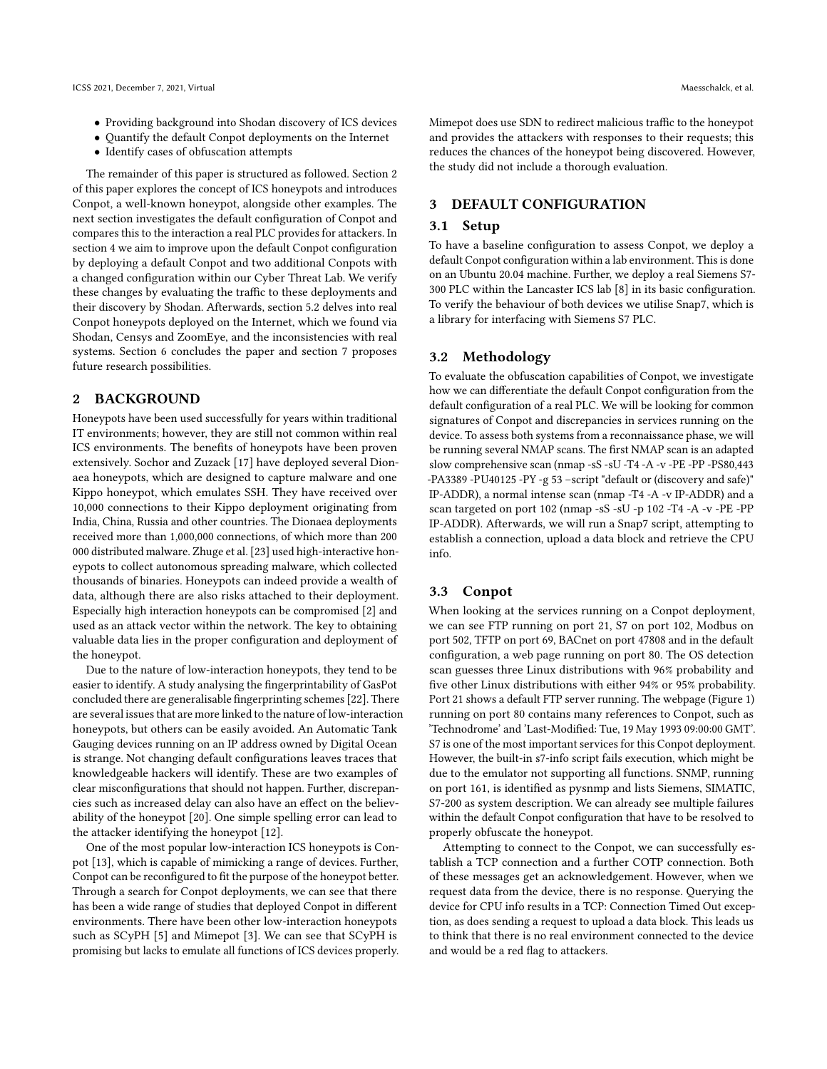- Providing background into Shodan discovery of ICS devices
- Quantify the default Conpot deployments on the Internet
- Identify cases of obfuscation attempts

The remainder of this paper is structured as followed. Section [2](#page-1-0) of this paper explores the concept of ICS honeypots and introduces Conpot, a well-known honeypot, alongside other examples. The next section investigates the default configuration of Conpot and compares this to the interaction a real PLC provides for attackers. In section [4](#page-2-0) we aim to improve upon the default Conpot configuration by deploying a default Conpot and two additional Conpots with a changed configuration within our Cyber Threat Lab. We verify these changes by evaluating the traffic to these deployments and their discovery by Shodan. Afterwards, section [5.2](#page-7-0) delves into real Conpot honeypots deployed on the Internet, which we found via Shodan, Censys and ZoomEye, and the inconsistencies with real systems. Section [6](#page-7-1) concludes the paper and section [7](#page-8-8) proposes future research possibilities.

# <span id="page-1-0"></span>2 BACKGROUND

Honeypots have been used successfully for years within traditional IT environments; however, they are still not common within real ICS environments. The benefits of honeypots have been proven extensively. Sochor and Zuzack [\[17\]](#page-8-9) have deployed several Dionaea honeypots, which are designed to capture malware and one Kippo honeypot, which emulates SSH. They have received over 10,000 connections to their Kippo deployment originating from India, China, Russia and other countries. The Dionaea deployments received more than 1,000,000 connections, of which more than 200 000 distributed malware. Zhuge et al. [\[23\]](#page-9-1) used high-interactive honeypots to collect autonomous spreading malware, which collected thousands of binaries. Honeypots can indeed provide a wealth of data, although there are also risks attached to their deployment. Especially high interaction honeypots can be compromised [\[2\]](#page-8-10) and used as an attack vector within the network. The key to obtaining valuable data lies in the proper configuration and deployment of the honeypot.

Due to the nature of low-interaction honeypots, they tend to be easier to identify. A study analysing the fingerprintability of GasPot concluded there are generalisable fingerprinting schemes [\[22\]](#page-9-2). There are several issues that are more linked to the nature of low-interaction honeypots, but others can be easily avoided. An Automatic Tank Gauging devices running on an IP address owned by Digital Ocean is strange. Not changing default configurations leaves traces that knowledgeable hackers will identify. These are two examples of clear misconfigurations that should not happen. Further, discrepancies such as increased delay can also have an effect on the believability of the honeypot [\[20\]](#page-9-3). One simple spelling error can lead to the attacker identifying the honeypot [\[12\]](#page-8-11).

One of the most popular low-interaction ICS honeypots is Conpot [\[13\]](#page-8-12), which is capable of mimicking a range of devices. Further, Conpot can be reconfigured to fit the purpose of the honeypot better. Through a search for Conpot deployments, we can see that there has been a wide range of studies that deployed Conpot in different environments. There have been other low-interaction honeypots such as SCyPH [\[5\]](#page-8-13) and Mimepot [\[3\]](#page-8-14). We can see that SCyPH is promising but lacks to emulate all functions of ICS devices properly.

Mimepot does use SDN to redirect malicious traffic to the honeypot and provides the attackers with responses to their requests; this reduces the chances of the honeypot being discovered. However, the study did not include a thorough evaluation.

# 3 DEFAULT CONFIGURATION

### 3.1 Setup

To have a baseline configuration to assess Conpot, we deploy a default Conpot configuration within a lab environment. This is done on an Ubuntu 20.04 machine. Further, we deploy a real Siemens S7- 300 PLC within the Lancaster ICS lab [\[8\]](#page-8-15) in its basic configuration. To verify the behaviour of both devices we utilise Snap7, which is a library for interfacing with Siemens S7 PLC.

### 3.2 Methodology

To evaluate the obfuscation capabilities of Conpot, we investigate how we can differentiate the default Conpot configuration from the default configuration of a real PLC. We will be looking for common signatures of Conpot and discrepancies in services running on the device. To assess both systems from a reconnaissance phase, we will be running several NMAP scans. The first NMAP scan is an adapted slow comprehensive scan (nmap -sS -sU -T4 -A -v -PE -PP -PS80,443 -PA3389 -PU40125 -PY -g 53 –script "default or (discovery and safe)" IP-ADDR), a normal intense scan (nmap -T4 -A -v IP-ADDR) and a scan targeted on port 102 (nmap -sS -sU -p 102 -T4 -A -v -PE -PP IP-ADDR). Afterwards, we will run a Snap7 script, attempting to establish a connection, upload a data block and retrieve the CPU info.

# 3.3 Conpot

When looking at the services running on a Conpot deployment, we can see FTP running on port 21, S7 on port 102, Modbus on port 502, TFTP on port 69, BACnet on port 47808 and in the default configuration, a web page running on port 80. The OS detection scan guesses three Linux distributions with 96% probability and five other Linux distributions with either 94% or 95% probability. Port 21 shows a default FTP server running. The webpage (Figure [1\)](#page-2-1) running on port 80 contains many references to Conpot, such as 'Technodrome' and 'Last-Modified: Tue, 19 May 1993 09:00:00 GMT'. S7 is one of the most important services for this Conpot deployment. However, the built-in s7-info script fails execution, which might be due to the emulator not supporting all functions. SNMP, running on port 161, is identified as pysnmp and lists Siemens, SIMATIC, S7-200 as system description. We can already see multiple failures within the default Conpot configuration that have to be resolved to properly obfuscate the honeypot.

Attempting to connect to the Conpot, we can successfully establish a TCP connection and a further COTP connection. Both of these messages get an acknowledgement. However, when we request data from the device, there is no response. Querying the device for CPU info results in a TCP: Connection Timed Out exception, as does sending a request to upload a data block. This leads us to think that there is no real environment connected to the device and would be a red flag to attackers.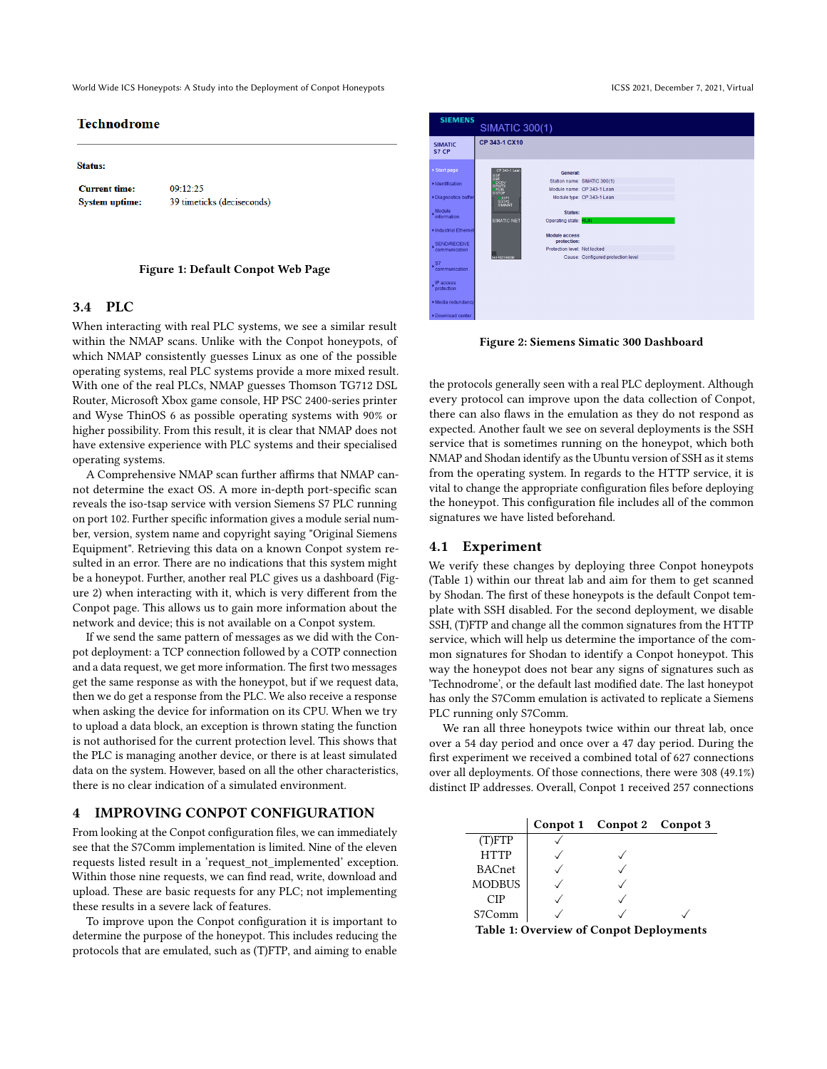World Wide ICS Honeypots: A Study into the Deployment of Conpot Honeypots **ICSS** 2021, December 7, 2021, Virtual

### <span id="page-2-1"></span>**Technodrome**

#### Status:

| <b>Current time:</b> | 09:12:25                   |
|----------------------|----------------------------|
| System uptime:       | 39 timeticks (deciseconds) |

#### Figure 1: Default Conpot Web Page

# 3.4 PLC

When interacting with real PLC systems, we see a similar result within the NMAP scans. Unlike with the Conpot honeypots, of which NMAP consistently guesses Linux as one of the possible operating systems, real PLC systems provide a more mixed result. With one of the real PLCs, NMAP guesses Thomson TG712 DSL Router, Microsoft Xbox game console, HP PSC 2400-series printer and Wyse ThinOS 6 as possible operating systems with 90% or higher possibility. From this result, it is clear that NMAP does not have extensive experience with PLC systems and their specialised operating systems.

A Comprehensive NMAP scan further affirms that NMAP cannot determine the exact OS. A more in-depth port-specific scan reveals the iso-tsap service with version Siemens S7 PLC running on port 102. Further specific information gives a module serial number, version, system name and copyright saying "Original Siemens Equipment". Retrieving this data on a known Conpot system resulted in an error. There are no indications that this system might be a honeypot. Further, another real PLC gives us a dashboard (Figure [2\)](#page-2-2) when interacting with it, which is very different from the Conpot page. This allows us to gain more information about the network and device; this is not available on a Conpot system.

If we send the same pattern of messages as we did with the Conpot deployment: a TCP connection followed by a COTP connection and a data request, we get more information. The first two messages get the same response as with the honeypot, but if we request data, then we do get a response from the PLC. We also receive a response when asking the device for information on its CPU. When we try to upload a data block, an exception is thrown stating the function is not authorised for the current protection level. This shows that the PLC is managing another device, or there is at least simulated data on the system. However, based on all the other characteristics, there is no clear indication of a simulated environment.

# <span id="page-2-0"></span>4 IMPROVING CONPOT CONFIGURATION

From looking at the Conpot configuration files, we can immediately see that the S7Comm implementation is limited. Nine of the eleven requests listed result in a 'request\_not\_implemented' exception. Within those nine requests, we can find read, write, download and upload. These are basic requests for any PLC; not implementing these results in a severe lack of features.

To improve upon the Conpot configuration it is important to determine the purpose of the honeypot. This includes reducing the protocols that are emulated, such as (T)FTP, and aiming to enable

<span id="page-2-2"></span>

| <b>SIEMENS</b>                                                                                                                                                                                                                                             | <b>SIMATIC 300(1)</b>                                                                                                                                                                                                                          |                                                                                                                                |  |
|------------------------------------------------------------------------------------------------------------------------------------------------------------------------------------------------------------------------------------------------------------|------------------------------------------------------------------------------------------------------------------------------------------------------------------------------------------------------------------------------------------------|--------------------------------------------------------------------------------------------------------------------------------|--|
| <b>SIMATIC</b><br>S7 CP                                                                                                                                                                                                                                    | CP 343-1 CX10                                                                                                                                                                                                                                  |                                                                                                                                |  |
| ▶ Start page<br>Identification<br>Diagnostics buffer<br><b>Module</b><br>information<br>Industrial Ethernet<br>SEND/RECEIVE<br>communication<br>$\cdot$ <sup>S7</sup><br>communication<br>IP access<br>protection<br>Media redundancy<br>▶ Download center | CP 343-1 Lean<br><b>General:</b><br>SF<br>BF<br>RXVIX<br>RUN<br>STOP<br>$X1P1$<br>$X1P2$<br>$MAINT$<br>Status:<br>SIMATIC NET<br>Operating state: RUN<br><b>Module access</b><br>protection:<br>Protection level: Not locked<br>343-10410-0000 | Station name: SIMATIC 300(1)<br>Module name: CP 343-1 Lean<br>Module type: CP 343-1 Lean<br>Cause: Configured protection level |  |

Figure 2: Siemens Simatic 300 Dashboard

the protocols generally seen with a real PLC deployment. Although every protocol can improve upon the data collection of Conpot, there can also flaws in the emulation as they do not respond as expected. Another fault we see on several deployments is the SSH service that is sometimes running on the honeypot, which both NMAP and Shodan identify as the Ubuntu version of SSH as it stems from the operating system. In regards to the HTTP service, it is vital to change the appropriate configuration files before deploying the honeypot. This configuration file includes all of the common signatures we have listed beforehand.

### 4.1 Experiment

We verify these changes by deploying three Conpot honeypots (Table [1\)](#page-2-3) within our threat lab and aim for them to get scanned by Shodan. The first of these honeypots is the default Conpot template with SSH disabled. For the second deployment, we disable SSH, (T)FTP and change all the common signatures from the HTTP service, which will help us determine the importance of the common signatures for Shodan to identify a Conpot honeypot. This way the honeypot does not bear any signs of signatures such as 'Technodrome', or the default last modified date. The last honeypot has only the S7Comm emulation is activated to replicate a Siemens PLC running only S7Comm.

We ran all three honeypots twice within our threat lab, once over a 54 day period and once over a 47 day period. During the first experiment we received a combined total of 627 connections over all deployments. Of those connections, there were 308 (49.1%) distinct IP addresses. Overall, Conpot 1 received 257 connections

<span id="page-2-3"></span>

|               | Conpot 1 Conpot 2 Conpot 3 |  |
|---------------|----------------------------|--|
| $(T)$ FTP     |                            |  |
| <b>HTTP</b>   |                            |  |
| <b>BACnet</b> |                            |  |
| <b>MODBUS</b> |                            |  |
| CIP           |                            |  |
| S7Comm        |                            |  |

Table 1: Overview of Conpot Deployments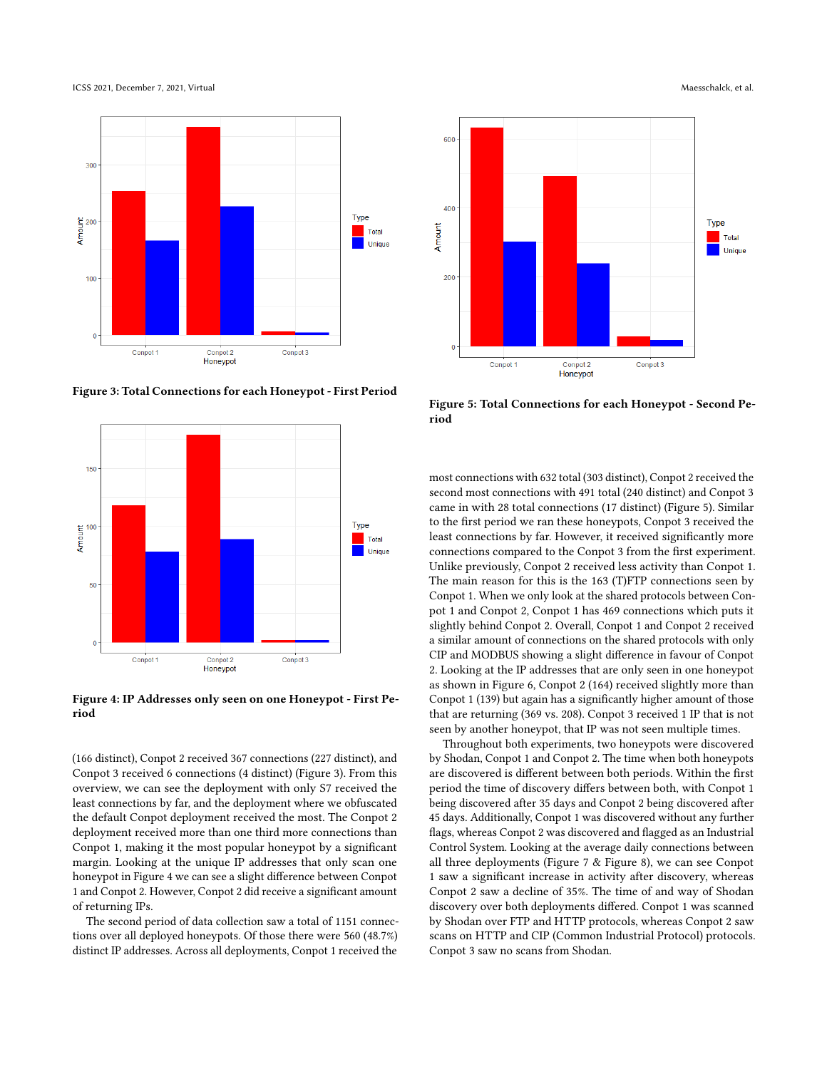ICSS 2021, December 7, 2021, Virtual Maesschalck, et al.

<span id="page-3-0"></span>

Figure 3: Total Connections for each Honeypot - First Period

<span id="page-3-1"></span>

Figure 4: IP Addresses only seen on one Honeypot - First Period

(166 distinct), Conpot 2 received 367 connections (227 distinct), and Conpot 3 received 6 connections (4 distinct) (Figure [3\)](#page-3-0). From this overview, we can see the deployment with only S7 received the least connections by far, and the deployment where we obfuscated the default Conpot deployment received the most. The Conpot 2 deployment received more than one third more connections than Conpot 1, making it the most popular honeypot by a significant margin. Looking at the unique IP addresses that only scan one honeypot in Figure [4](#page-3-1) we can see a slight difference between Conpot 1 and Conpot 2. However, Conpot 2 did receive a significant amount of returning IPs.

The second period of data collection saw a total of 1151 connections over all deployed honeypots. Of those there were 560 (48.7%) distinct IP addresses. Across all deployments, Conpot 1 received the

<span id="page-3-2"></span>

Figure 5: Total Connections for each Honeypot - Second Period

most connections with 632 total (303 distinct), Conpot 2 received the second most connections with 491 total (240 distinct) and Conpot 3 came in with 28 total connections (17 distinct) (Figure [5\)](#page-3-2). Similar to the first period we ran these honeypots, Conpot 3 received the least connections by far. However, it received significantly more connections compared to the Conpot 3 from the first experiment. Unlike previously, Conpot 2 received less activity than Conpot 1. The main reason for this is the 163 (T)FTP connections seen by Conpot 1. When we only look at the shared protocols between Conpot 1 and Conpot 2, Conpot 1 has 469 connections which puts it slightly behind Conpot 2. Overall, Conpot 1 and Conpot 2 received a similar amount of connections on the shared protocols with only CIP and MODBUS showing a slight difference in favour of Conpot 2. Looking at the IP addresses that are only seen in one honeypot as shown in Figure [6,](#page-4-0) Conpot 2 (164) received slightly more than Conpot 1 (139) but again has a significantly higher amount of those that are returning (369 vs. 208). Conpot 3 received 1 IP that is not seen by another honeypot, that IP was not seen multiple times.

Throughout both experiments, two honeypots were discovered by Shodan, Conpot 1 and Conpot 2. The time when both honeypots are discovered is different between both periods. Within the first period the time of discovery differs between both, with Conpot 1 being discovered after 35 days and Conpot 2 being discovered after 45 days. Additionally, Conpot 1 was discovered without any further flags, whereas Conpot 2 was discovered and flagged as an Industrial Control System. Looking at the average daily connections between all three deployments (Figure [7](#page-4-1) & Figure [8\)](#page-4-2), we can see Conpot 1 saw a significant increase in activity after discovery, whereas Conpot 2 saw a decline of 35%. The time of and way of Shodan discovery over both deployments differed. Conpot 1 was scanned by Shodan over FTP and HTTP protocols, whereas Conpot 2 saw scans on HTTP and CIP (Common Industrial Protocol) protocols. Conpot 3 saw no scans from Shodan.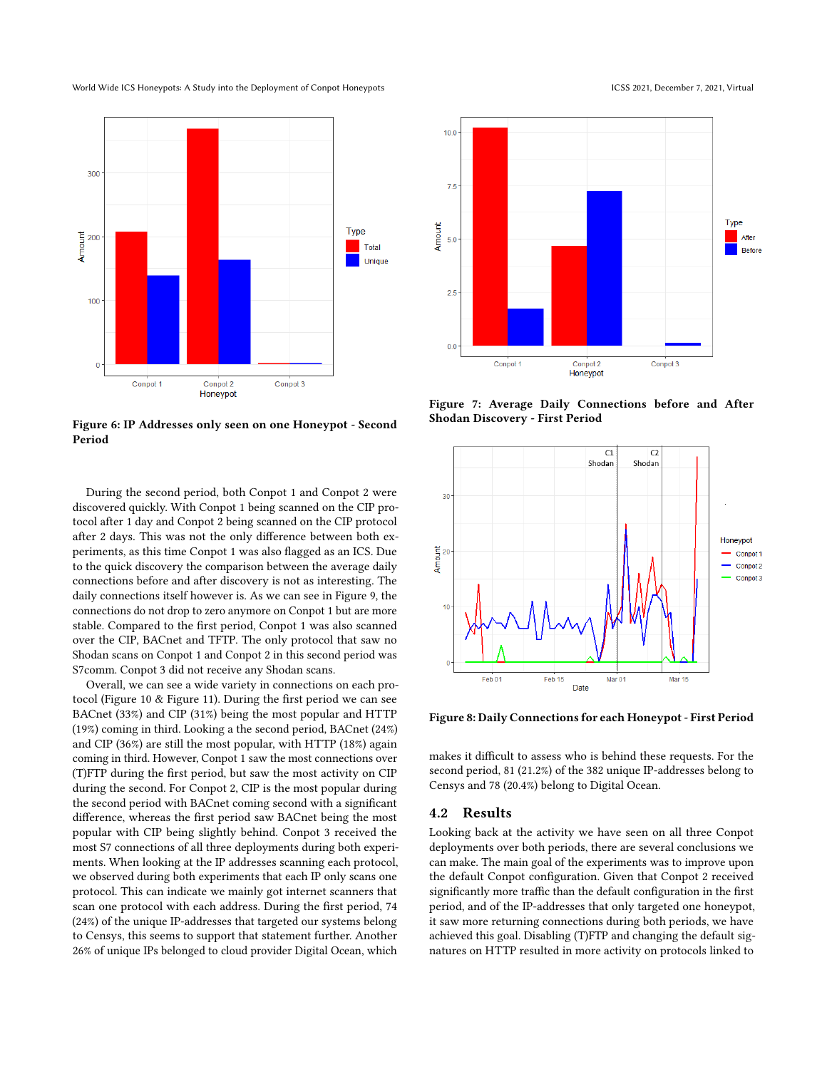World Wide ICS Honeypots: A Study into the Deployment of Conpot Honeypots **ICSS** 2021, December 7, 2021, Virtual

<span id="page-4-0"></span>

Figure 6: IP Addresses only seen on one Honeypot - Second Period

During the second period, both Conpot 1 and Conpot 2 were discovered quickly. With Conpot 1 being scanned on the CIP protocol after 1 day and Conpot 2 being scanned on the CIP protocol after 2 days. This was not the only difference between both experiments, as this time Conpot 1 was also flagged as an ICS. Due to the quick discovery the comparison between the average daily connections before and after discovery is not as interesting. The daily connections itself however is. As we can see in Figure [9,](#page-5-0) the connections do not drop to zero anymore on Conpot 1 but are more stable. Compared to the first period, Conpot 1 was also scanned over the CIP, BACnet and TFTP. The only protocol that saw no Shodan scans on Conpot 1 and Conpot 2 in this second period was S7comm. Conpot 3 did not receive any Shodan scans.

Overall, we can see a wide variety in connections on each protocol (Figure [10](#page-6-0) & Figure [11\)](#page-6-1). During the first period we can see BACnet (33%) and CIP (31%) being the most popular and HTTP (19%) coming in third. Looking a the second period, BACnet (24%) and CIP (36%) are still the most popular, with HTTP (18%) again coming in third. However, Conpot 1 saw the most connections over (T)FTP during the first period, but saw the most activity on CIP during the second. For Conpot 2, CIP is the most popular during the second period with BACnet coming second with a significant difference, whereas the first period saw BACnet being the most popular with CIP being slightly behind. Conpot 3 received the most S7 connections of all three deployments during both experiments. When looking at the IP addresses scanning each protocol, we observed during both experiments that each IP only scans one protocol. This can indicate we mainly got internet scanners that scan one protocol with each address. During the first period, 74 (24%) of the unique IP-addresses that targeted our systems belong to Censys, this seems to support that statement further. Another 26% of unique IPs belonged to cloud provider Digital Ocean, which



<span id="page-4-1"></span>

Figure 7: Average Daily Connections before and After Shodan Discovery - First Period

<span id="page-4-2"></span>

Figure 8: Daily Connections for each Honeypot - First Period

makes it difficult to assess who is behind these requests. For the second period, 81 (21.2%) of the 382 unique IP-addresses belong to Censys and 78 (20.4%) belong to Digital Ocean.

### 4.2 Results

Looking back at the activity we have seen on all three Conpot deployments over both periods, there are several conclusions we can make. The main goal of the experiments was to improve upon the default Conpot configuration. Given that Conpot 2 received significantly more traffic than the default configuration in the first period, and of the IP-addresses that only targeted one honeypot, it saw more returning connections during both periods, we have achieved this goal. Disabling (T)FTP and changing the default signatures on HTTP resulted in more activity on protocols linked to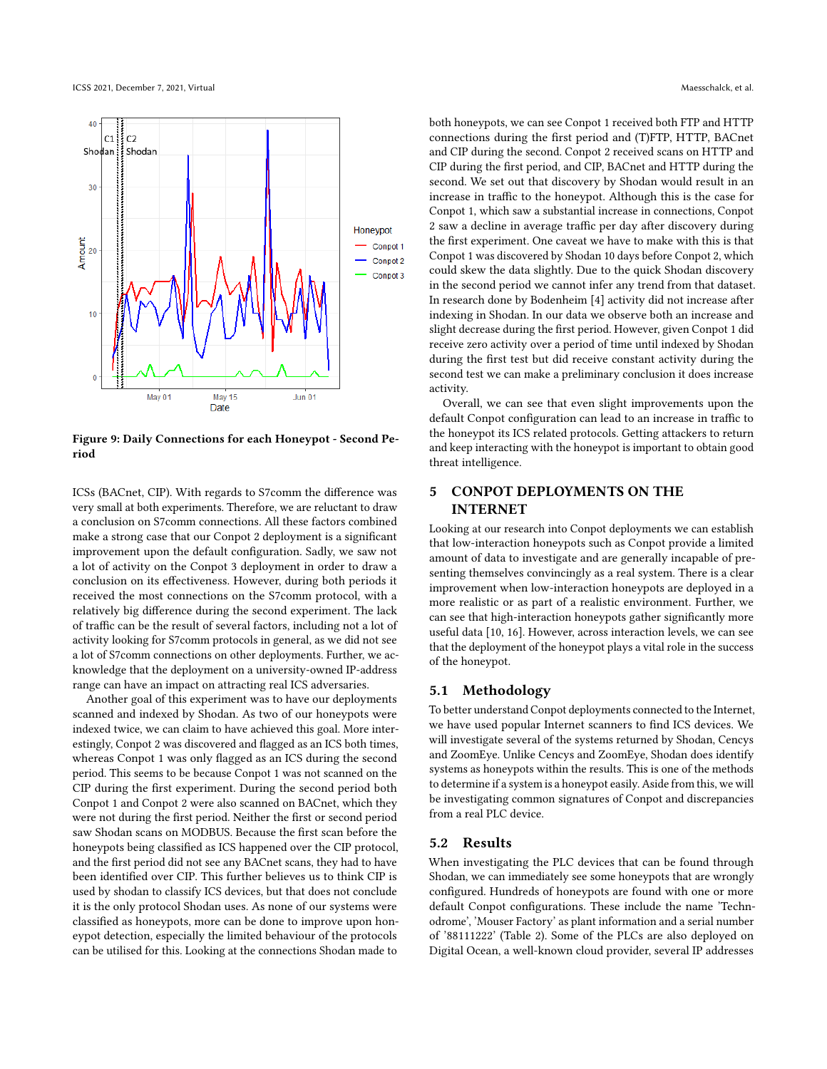<span id="page-5-0"></span>

Figure 9: Daily Connections for each Honeypot - Second Period

ICSs (BACnet, CIP). With regards to S7comm the difference was very small at both experiments. Therefore, we are reluctant to draw a conclusion on S7comm connections. All these factors combined make a strong case that our Conpot 2 deployment is a significant improvement upon the default configuration. Sadly, we saw not a lot of activity on the Conpot 3 deployment in order to draw a conclusion on its effectiveness. However, during both periods it received the most connections on the S7comm protocol, with a relatively big difference during the second experiment. The lack of traffic can be the result of several factors, including not a lot of activity looking for S7comm protocols in general, as we did not see a lot of S7comm connections on other deployments. Further, we acknowledge that the deployment on a university-owned IP-address range can have an impact on attracting real ICS adversaries.

Another goal of this experiment was to have our deployments scanned and indexed by Shodan. As two of our honeypots were indexed twice, we can claim to have achieved this goal. More interestingly, Conpot 2 was discovered and flagged as an ICS both times, whereas Conpot 1 was only flagged as an ICS during the second period. This seems to be because Conpot 1 was not scanned on the CIP during the first experiment. During the second period both Conpot 1 and Conpot 2 were also scanned on BACnet, which they were not during the first period. Neither the first or second period saw Shodan scans on MODBUS. Because the first scan before the honeypots being classified as ICS happened over the CIP protocol, and the first period did not see any BACnet scans, they had to have been identified over CIP. This further believes us to think CIP is used by shodan to classify ICS devices, but that does not conclude it is the only protocol Shodan uses. As none of our systems were classified as honeypots, more can be done to improve upon honeypot detection, especially the limited behaviour of the protocols can be utilised for this. Looking at the connections Shodan made to

both honeypots, we can see Conpot 1 received both FTP and HTTP connections during the first period and (T)FTP, HTTP, BACnet and CIP during the second. Conpot 2 received scans on HTTP and CIP during the first period, and CIP, BACnet and HTTP during the second. We set out that discovery by Shodan would result in an increase in traffic to the honeypot. Although this is the case for Conpot 1, which saw a substantial increase in connections, Conpot 2 saw a decline in average traffic per day after discovery during the first experiment. One caveat we have to make with this is that Conpot 1 was discovered by Shodan 10 days before Conpot 2, which could skew the data slightly. Due to the quick Shodan discovery in the second period we cannot infer any trend from that dataset. In research done by Bodenheim [\[4\]](#page-8-16) activity did not increase after indexing in Shodan. In our data we observe both an increase and slight decrease during the first period. However, given Conpot 1 did receive zero activity over a period of time until indexed by Shodan during the first test but did receive constant activity during the second test we can make a preliminary conclusion it does increase activity.

Overall, we can see that even slight improvements upon the default Conpot configuration can lead to an increase in traffic to the honeypot its ICS related protocols. Getting attackers to return and keep interacting with the honeypot is important to obtain good threat intelligence.

# 5 CONPOT DEPLOYMENTS ON THE INTERNET

Looking at our research into Conpot deployments we can establish that low-interaction honeypots such as Conpot provide a limited amount of data to investigate and are generally incapable of presenting themselves convincingly as a real system. There is a clear improvement when low-interaction honeypots are deployed in a more realistic or as part of a realistic environment. Further, we can see that high-interaction honeypots gather significantly more useful data [\[10,](#page-8-17) [16\]](#page-8-18). However, across interaction levels, we can see that the deployment of the honeypot plays a vital role in the success of the honeypot.

# 5.1 Methodology

To better understand Conpot deployments connected to the Internet, we have used popular Internet scanners to find ICS devices. We will investigate several of the systems returned by Shodan, Cencys and ZoomEye. Unlike Cencys and ZoomEye, Shodan does identify systems as honeypots within the results. This is one of the methods to determine if a system is a honeypot easily. Aside from this, we will be investigating common signatures of Conpot and discrepancies from a real PLC device.

# 5.2 Results

When investigating the PLC devices that can be found through Shodan, we can immediately see some honeypots that are wrongly configured. Hundreds of honeypots are found with one or more default Conpot configurations. These include the name 'Technodrome', 'Mouser Factory' as plant information and a serial number of '88111222' (Table [2\)](#page-7-2). Some of the PLCs are also deployed on Digital Ocean, a well-known cloud provider, several IP addresses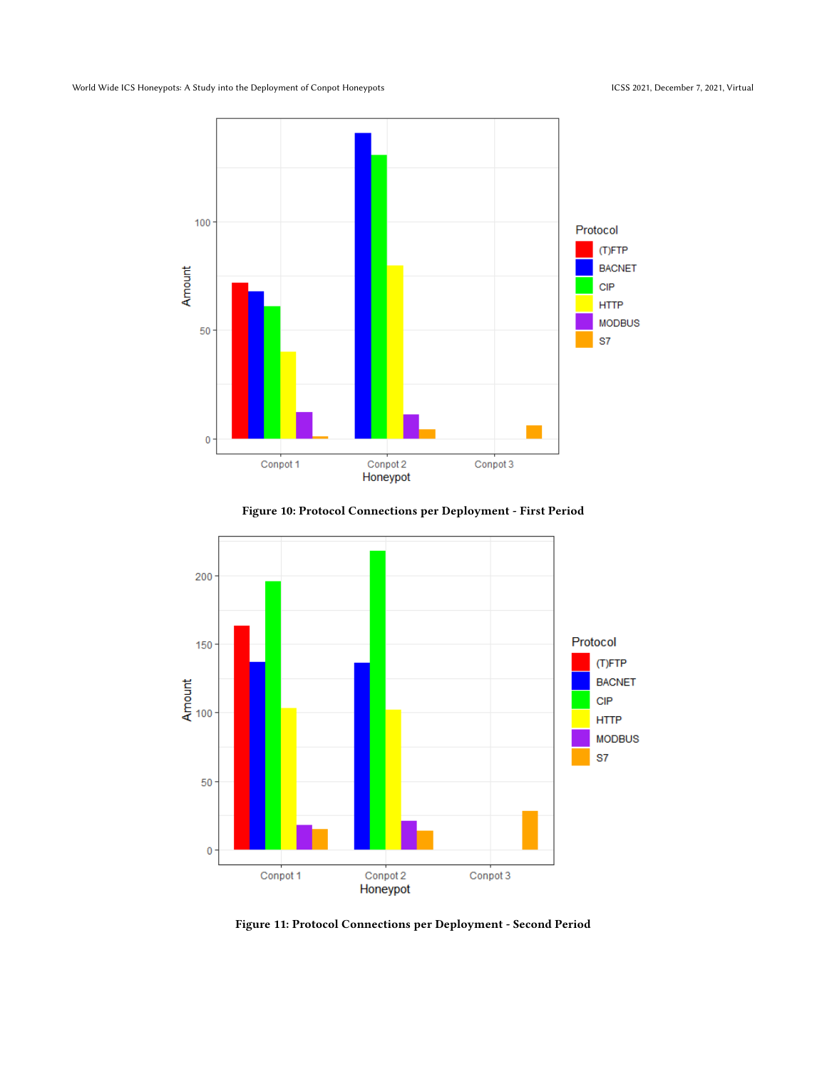<span id="page-6-0"></span>World Wide ICS Honeypots: A Study into the Deployment of Conpot Honeypots **ICSS** 2021, December 7, 2021, Virtual





<span id="page-6-1"></span>

Figure 11: Protocol Connections per Deployment - Second Period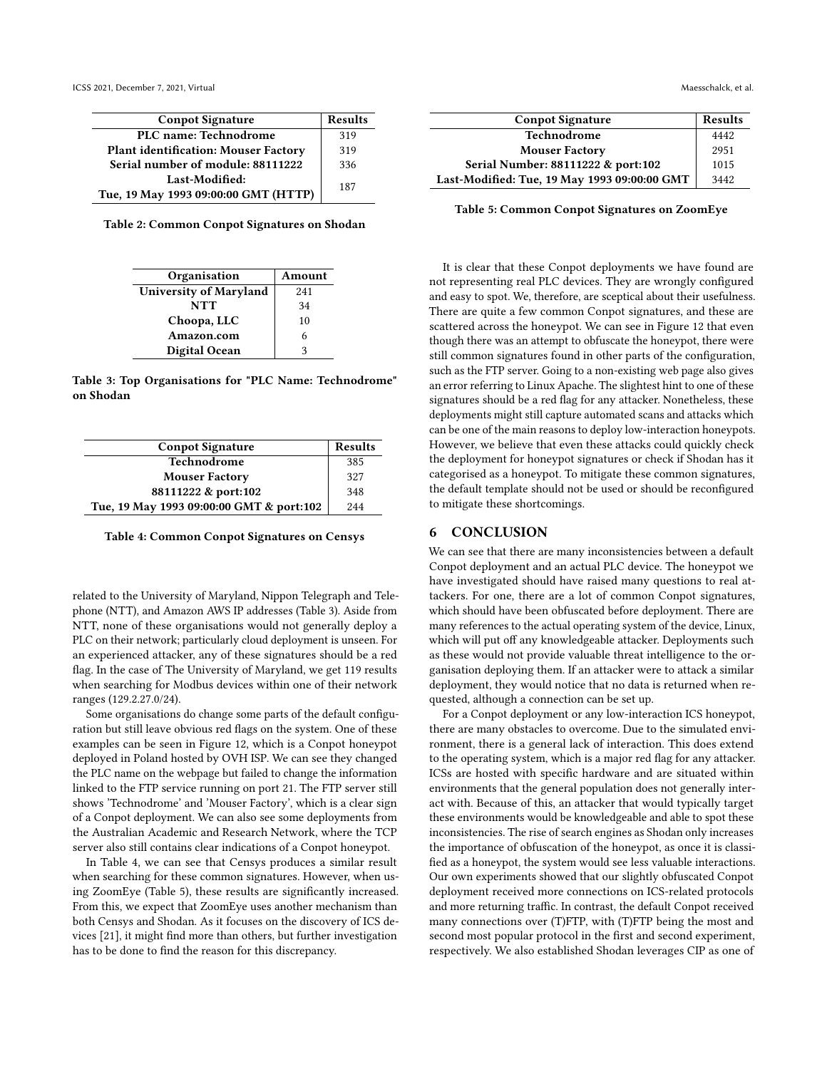ICSS 2021, December 7, 2021, Virtual and States and States and States and States and Maesschalck, et al.

<span id="page-7-2"></span>

| <b>Conpot Signature</b>                     | Results |
|---------------------------------------------|---------|
| PLC name: Technodrome                       | 319     |
| <b>Plant identification: Mouser Factory</b> | 319     |
| Serial number of module: 88111222           | 336     |
| Last-Modified:                              | 187     |
| Tue, 19 May 1993 09:00:00 GMT (HTTP)        |         |

<span id="page-7-3"></span>Table 2: Common Conpot Signatures on Shodan

| Organisation                  | Amount |
|-------------------------------|--------|
| <b>University of Maryland</b> | 241    |
| NTT                           | 34     |
| Choopa, LLC                   | 10     |
| Amazon.com                    |        |
| Digital Ocean                 |        |

Table 3: Top Organisations for "PLC Name: Technodrome" on Shodan

<span id="page-7-4"></span>

| <b>Conpot Signature</b>                  | <b>Results</b> |
|------------------------------------------|----------------|
| Technodrome                              | 385            |
| <b>Mouser Factory</b>                    | 327            |
| 88111222 & port:102                      | 348            |
| Tue, 19 May 1993 09:00:00 GMT & port:102 | 2.44           |

Table 4: Common Conpot Signatures on Censys

related to the University of Maryland, Nippon Telegraph and Telephone (NTT), and Amazon AWS IP addresses (Table [3\)](#page-7-3). Aside from NTT, none of these organisations would not generally deploy a PLC on their network; particularly cloud deployment is unseen. For an experienced attacker, any of these signatures should be a red flag. In the case of The University of Maryland, we get 119 results when searching for Modbus devices within one of their network ranges (129.2.27.0/24).

Some organisations do change some parts of the default configuration but still leave obvious red flags on the system. One of these examples can be seen in Figure [12,](#page-8-19) which is a Conpot honeypot deployed in Poland hosted by OVH ISP. We can see they changed the PLC name on the webpage but failed to change the information linked to the FTP service running on port 21. The FTP server still shows 'Technodrome' and 'Mouser Factory', which is a clear sign of a Conpot deployment. We can also see some deployments from the Australian Academic and Research Network, where the TCP server also still contains clear indications of a Conpot honeypot.

In Table [4,](#page-7-4) we can see that Censys produces a similar result when searching for these common signatures. However, when using ZoomEye (Table [5\)](#page-7-0), these results are significantly increased. From this, we expect that ZoomEye uses another mechanism than both Censys and Shodan. As it focuses on the discovery of ICS devices [\[21\]](#page-9-4), it might find more than others, but further investigation has to be done to find the reason for this discrepancy.

<span id="page-7-0"></span>

| <b>Conpot Signature</b>                      | <b>Results</b> |
|----------------------------------------------|----------------|
| Technodrome                                  | 4442           |
| <b>Mouser Factory</b>                        | 2951           |
| Serial Number: 88111222 & port:102           | 1015           |
| Last-Modified: Tue, 19 May 1993 09:00:00 GMT | 3442           |

Table 5: Common Conpot Signatures on ZoomEye

It is clear that these Conpot deployments we have found are not representing real PLC devices. They are wrongly configured and easy to spot. We, therefore, are sceptical about their usefulness. There are quite a few common Conpot signatures, and these are scattered across the honeypot. We can see in Figure [12](#page-8-19) that even though there was an attempt to obfuscate the honeypot, there were still common signatures found in other parts of the configuration, such as the FTP server. Going to a non-existing web page also gives an error referring to Linux Apache. The slightest hint to one of these signatures should be a red flag for any attacker. Nonetheless, these deployments might still capture automated scans and attacks which can be one of the main reasons to deploy low-interaction honeypots. However, we believe that even these attacks could quickly check the deployment for honeypot signatures or check if Shodan has it categorised as a honeypot. To mitigate these common signatures, the default template should not be used or should be reconfigured to mitigate these shortcomings.

### <span id="page-7-1"></span>6 CONCLUSION

We can see that there are many inconsistencies between a default Conpot deployment and an actual PLC device. The honeypot we have investigated should have raised many questions to real attackers. For one, there are a lot of common Conpot signatures, which should have been obfuscated before deployment. There are many references to the actual operating system of the device, Linux, which will put off any knowledgeable attacker. Deployments such as these would not provide valuable threat intelligence to the organisation deploying them. If an attacker were to attack a similar deployment, they would notice that no data is returned when requested, although a connection can be set up.

For a Conpot deployment or any low-interaction ICS honeypot, there are many obstacles to overcome. Due to the simulated environment, there is a general lack of interaction. This does extend to the operating system, which is a major red flag for any attacker. ICSs are hosted with specific hardware and are situated within environments that the general population does not generally interact with. Because of this, an attacker that would typically target these environments would be knowledgeable and able to spot these inconsistencies. The rise of search engines as Shodan only increases the importance of obfuscation of the honeypot, as once it is classified as a honeypot, the system would see less valuable interactions. Our own experiments showed that our slightly obfuscated Conpot deployment received more connections on ICS-related protocols and more returning traffic. In contrast, the default Conpot received many connections over (T)FTP, with (T)FTP being the most and second most popular protocol in the first and second experiment, respectively. We also established Shodan leverages CIP as one of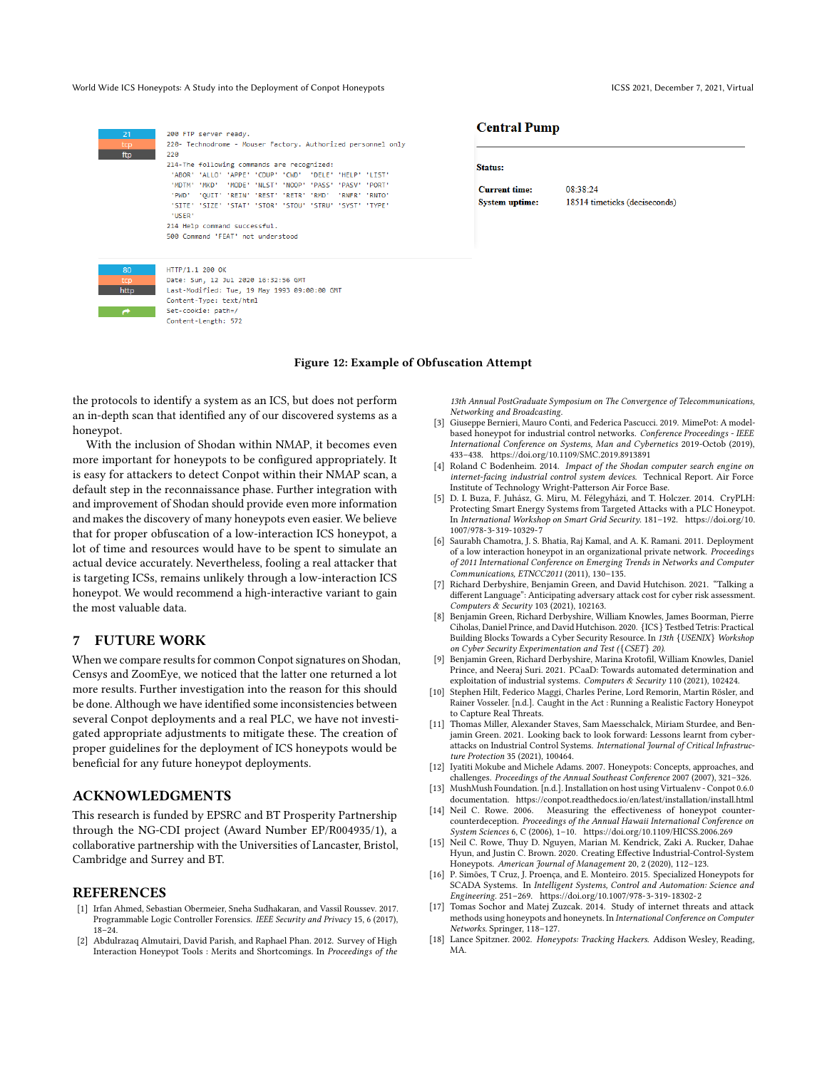<span id="page-8-19"></span>World Wide ICS Honeypots: A Study into the Deployment of Conpot Honeypots **ICSS** 2021, December 7, 2021, Virtual



200 FTP server ready. 220- Technodrome - Mouser Factory, Authorized personnel only 214-The following commands are recognized: "ABOR" "ALLO" "APPE" "CDUP" "CWD" "DELE" "HELP" "LIST" "MDTM" "MKD" "MODE" "NLST" "NOOP" "PASS" "PASV" "PORT" "PWD" "OUTT" "RETN" "REST" "RETR" "RMD" "RNER" "RNTO" "SITE" "SIZE" "STAT" "STOR" "STOU" "STRU" "SYST" "TYPE" \*USER\* 214 Help command successful. 500 Command 'FEAT' not understood



HTTP/1.1 200 OK Date: Sun. 12 Jul 2020 16:32:56 GMT Last-Modified: Tue, 19 May 1993 09:00:00 GMT Content-Type: text/html Set-cookie: path=/ Content-Length: 572

#### Figure 12: Example of Obfuscation Attempt

the protocols to identify a system as an ICS, but does not perform an in-depth scan that identified any of our discovered systems as a honeypot.

With the inclusion of Shodan within NMAP, it becomes even more important for honeypots to be configured appropriately. It is easy for attackers to detect Conpot within their NMAP scan, a default step in the reconnaissance phase. Further integration with and improvement of Shodan should provide even more information and makes the discovery of many honeypots even easier. We believe that for proper obfuscation of a low-interaction ICS honeypot, a lot of time and resources would have to be spent to simulate an actual device accurately. Nevertheless, fooling a real attacker that is targeting ICSs, remains unlikely through a low-interaction ICS honeypot. We would recommend a high-interactive variant to gain the most valuable data.

# <span id="page-8-8"></span>7 FUTURE WORK

When we compare results for common Conpot signatures on Shodan, Censys and ZoomEye, we noticed that the latter one returned a lot more results. Further investigation into the reason for this should be done. Although we have identified some inconsistencies between several Conpot deployments and a real PLC, we have not investigated appropriate adjustments to mitigate these. The creation of proper guidelines for the deployment of ICS honeypots would be beneficial for any future honeypot deployments.

# ACKNOWLEDGMENTS

This research is funded by EPSRC and BT Prosperity Partnership through the NG-CDI project (Award Number EP/R004935/1), a collaborative partnership with the Universities of Lancaster, Bristol, Cambridge and Surrey and BT.

### **REFERENCES**

- <span id="page-8-0"></span>[1] Irfan Ahmed, Sebastian Obermeier, Sneha Sudhakaran, and Vassil Roussev. 2017. Programmable Logic Controller Forensics. IEEE Security and Privacy 15, 6 (2017), 18–24.
- <span id="page-8-10"></span>[2] Abdulrazaq Almutairi, David Parish, and Raphael Phan. 2012. Survey of High Interaction Honeypot Tools : Merits and Shortcomings. In Proceedings of the

# **Central Pump**

Status:

**Current time: System uptime:** 

08:38:24 18514 timeticks (deciseconds)

13th Annual PostGraduate Symposium on The Convergence of Telecommunications, Networking and Broadcasting.

- <span id="page-8-14"></span>[3] Giuseppe Bernieri, Mauro Conti, and Federica Pascucci. 2019. MimePot: A modelbased honeypot for industrial control networks. Conference Proceedings - IEEE International Conference on Systems, Man and Cybernetics 2019-Octob (2019), 433–438.<https://doi.org/10.1109/SMC.2019.8913891>
- <span id="page-8-16"></span>[4] Roland C Bodenheim. 2014. Impact of the Shodan computer search engine on internet-facing industrial control system devices. Technical Report. Air Force Institute of Technology Wright-Patterson Air Force Base.
- <span id="page-8-13"></span>D. I. Buza, F. Juhász, G. Miru, M. Félegyházi, and T. Holczer. 2014. CryPLH: Protecting Smart Energy Systems from Targeted Attacks with a PLC Honeypot. In International Workshop on Smart Grid Security. 181–192. [https://doi.org/10.](https://doi.org/10.1007/978-3-319-10329-7) [1007/978-3-319-10329-7](https://doi.org/10.1007/978-3-319-10329-7)
- <span id="page-8-4"></span>Saurabh Chamotra, J. S. Bhatia, Raj Kamal, and A. K. Ramani. 2011. Deployment of a low interaction honeypot in an organizational private network. Proceedings of 2011 International Conference on Emerging Trends in Networks and Computer Communications, ETNCC2011 (2011), 130–135.
- <span id="page-8-6"></span>[7] Richard Derbyshire, Benjamin Green, and David Hutchison. 2021. "Talking a different Language": Anticipating adversary attack cost for cyber risk assessment. Computers & Security 103 (2021), 102163.
- <span id="page-8-15"></span>[8] Benjamin Green, Richard Derbyshire, William Knowles, James Boorman, Pierre Ciholas, Daniel Prince, and David Hutchison. 2020. {ICS} Testbed Tetris: Practical Building Blocks Towards a Cyber Security Resource. In 13th {USENIX} Workshop on Cyber Security Experimentation and Test ({CSET} 20).
- <span id="page-8-5"></span>[9] Benjamin Green, Richard Derbyshire, Marina Krotofil, William Knowles, Daniel Prince, and Neeraj Suri. 2021. PCaaD: Towards automated determination and exploitation of industrial systems. Computers & Security 110 (2021), 102424.
- <span id="page-8-17"></span>[10] Stephen Hilt, Federico Maggi, Charles Perine, Lord Remorin, Martin Rösler, and Rainer Vosseler. [n.d.]. Caught in the Act : Running a Realistic Factory Honeypot to Capture Real Threats.
- <span id="page-8-1"></span>[11] Thomas Miller, Alexander Staves, Sam Maesschalck, Miriam Sturdee, and Benjamin Green. 2021. Looking back to look forward: Lessons learnt from cyberattacks on Industrial Control Systems. International Journal of Critical Infrastructure Protection 35 (2021), 100464.
- <span id="page-8-11"></span>[12] Iyatiti Mokube and Michele Adams. 2007. Honeypots: Concepts, approaches, and challenges. Proceedings of the Annual Southeast Conference 2007 (2007), 321–326.
- <span id="page-8-12"></span>[13] MushMush Foundation. [n.d.]. Installation on host using Virtualenv - Conpot 0.6.0 documentation.<https://conpot.readthedocs.io/en/latest/installation/install.html>
- <span id="page-8-2"></span>[14] Neil C. Rowe. 2006. Measuring the effectiveness of honeypot countercounterdeception. Proceedings of the Annual Hawaii International Conference on System Sciences 6, C (2006), 1–10.<https://doi.org/10.1109/HICSS.2006.269>
- <span id="page-8-7"></span>[15] Neil C. Rowe, Thuy D. Nguyen, Marian M. Kendrick, Zaki A. Rucker, Dahae Hyun, and Justin C. Brown. 2020. Creating Effective Industrial-Control-System Honeypots. American Journal of Management 20, 2 (2020), 112–123.
- <span id="page-8-18"></span>[16] P. Simões, T Cruz, J. Proença, and E. Monteiro. 2015. Specialized Honeypots for SCADA Systems. In Intelligent Systems, Control and Automation: Science and Engineering. 251–269.<https://doi.org/10.1007/978-3-319-18302-2>
- <span id="page-8-9"></span>[17] Tomas Sochor and Matej Zuzcak. 2014. Study of internet threats and attack methods using honeypots and honeynets. In International Conference on Computer Networks. Springer, 118–127.
- <span id="page-8-3"></span>[18] Lance Spitzner. 2002. Honeypots: Tracking Hackers. Addison Wesley, Reading, MA.